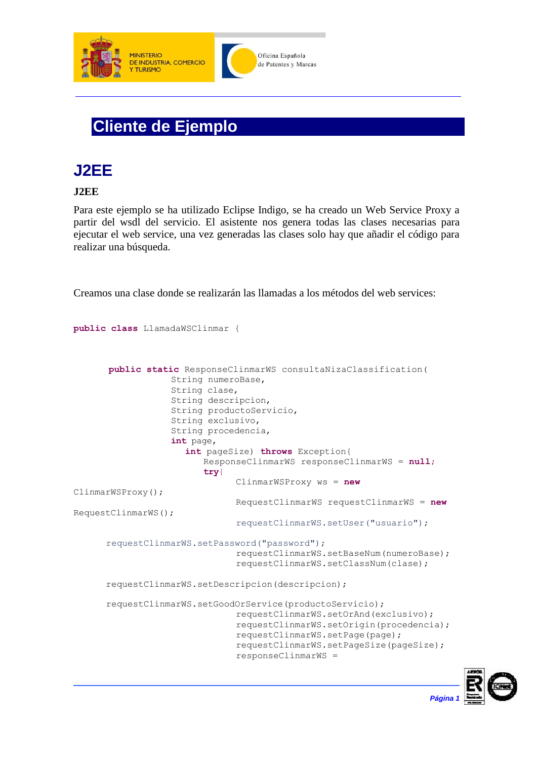

## **Cliente de Ejemplo**

## **J2EE**

## **J2EE**

Para este ejemplo se ha utilizado Eclipse Indigo, se ha creado un Web Service Proxy a partir del wsdl del servicio. El asistente nos genera todas las clases necesarias para ejecutar el web service, una vez generadas las clases solo hay que añadir el código para realizar una búsqueda.

Creamos una clase donde se realizarán las llamadas a los métodos del web services:

```
public class LlamadaWSClinmar {
      public static ResponseClinmarWS consultaNizaClassification(
                  String numeroBase,
                  String clase,
                  String descripcion,
                  String productoServicio,
                  String exclusivo,
                  String procedencia,
                  int page,
                     int pageSize) throws Exception{
                        ResponseClinmarWS responseClinmarWS = null;
                        try{
                               ClinmarWSProxy ws = new
ClinmarWSProxy();
                               RequestClinmarWS requestClinmarWS = new
RequestClinmarWS();
                               requestClinmarWS.setUser("usuario");
      requestClinmarWS.setPassword("password");
                               requestClinmarWS.setBaseNum(numeroBase); 
                               requestClinmarWS.setClassNum(clase);
      requestClinmarWS.setDescripcion(descripcion);
      requestClinmarWS.setGoodOrService(productoServicio); 
                               requestClinmarWS.setOrAnd(exclusivo); 
                               requestClinmarWS.setOrigin(procedencia); 
                               requestClinmarWS.setPage(page); 
                               requestClinmarWS.setPageSize(pageSize); 
                               responseClinmarWS =
```